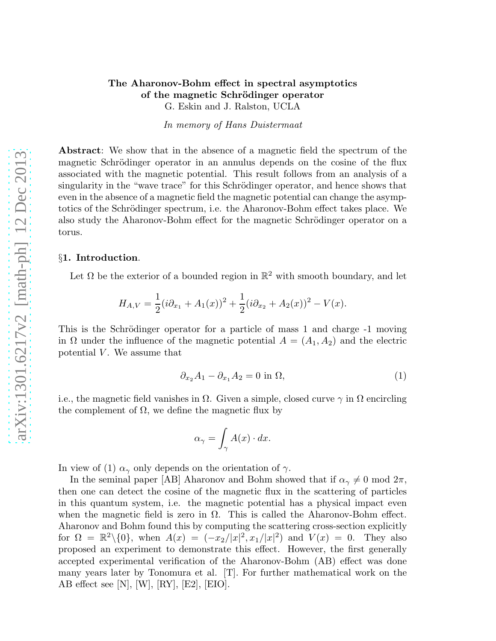## The Aharonov-Bohm effect in spectral asymptotics of the magnetic Schrödinger operator G. Eskin and J. Ralston, UCLA

In memory of Hans Duistermaat

Abstract: We show that in the absence of a magnetic field the spectrum of the magnetic Schrödinger operator in an annulus depends on the cosine of the flux associated with the magnetic potential. This result follows from an analysis of a singularity in the "wave trace" for this Schrödinger operator, and hence shows that even in the absence of a magnetic field the magnetic potential can change the asymptotics of the Schrödinger spectrum, i.e. the Aharonov-Bohm effect takes place. We also study the Aharonov-Bohm effect for the magnetic Schrödinger operator on a torus.

### §1. Introduction.

Let  $\Omega$  be the exterior of a bounded region in  $\mathbb{R}^2$  with smooth boundary, and let

$$
H_{A,V} = \frac{1}{2}(i\partial_{x_1} + A_1(x))^2 + \frac{1}{2}(i\partial_{x_2} + A_2(x))^2 - V(x).
$$

This is the Schrödinger operator for a particle of mass 1 and charge -1 moving in  $\Omega$  under the influence of the magnetic potential  $A = (A_1, A_2)$  and the electric potential  $V$ . We assume that

$$
\partial_{x_2} A_1 - \partial_{x_1} A_2 = 0 \text{ in } \Omega,\tag{1}
$$

i.e., the magnetic field vanishes in  $\Omega$ . Given a simple, closed curve  $\gamma$  in  $\Omega$  encircling the complement of  $\Omega$ , we define the magnetic flux by

$$
\alpha_{\gamma} = \int_{\gamma} A(x) \cdot dx.
$$

In view of (1)  $\alpha_{\gamma}$  only depends on the orientation of  $\gamma$ .

In the seminal paper [AB] Aharonov and Bohm showed that if  $\alpha_{\gamma} \neq 0 \mod 2\pi$ , then one can detect the cosine of the magnetic flux in the scattering of particles in this quantum system, i.e. the magnetic potential has a physical impact even when the magnetic field is zero in  $\Omega$ . This is called the Aharonov-Bohm effect. Aharonov and Bohm found this by computing the scattering cross-section explicitly for  $\Omega = \mathbb{R}^2 \setminus \{0\}$ , when  $A(x) = (-x_2/|x|^2, x_1/|x|^2)$  and  $V(x) = 0$ . They also proposed an experiment to demonstrate this effect. However, the first generally accepted experimental verification of the Aharonov-Bohm (AB) effect was done many years later by Tonomura et al. [T]. For further mathematical work on the AB effect see [N], [W], [RY], [E2], [EIO].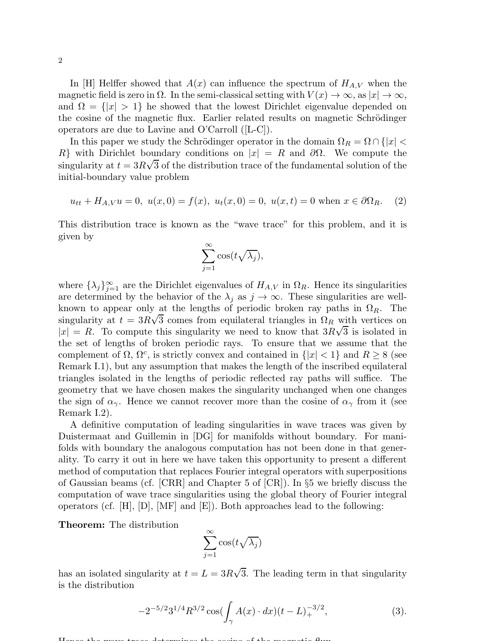In [H] Helffer showed that  $A(x)$  can influence the spectrum of  $H_{A,V}$  when the magnetic field is zero in  $\Omega$ . In the semi-classical setting with  $V(x) \to \infty$ , as  $|x| \to \infty$ , and  $\Omega = \{|x| > 1\}$  he showed that the lowest Dirichlet eigenvalue depended on the cosine of the magnetic flux. Earlier related results on magnetic Schrödinger operators are due to Lavine and O'Carroll ([L-C]).

In this paper we study the Schrödinger operator in the domain  $\Omega_R = \Omega \cap \{|x| < \infty\}$ R} with Dirichlet boundary conditions on  $|x| = R$  and  $\partial\Omega$ . We compute the singularity at  $t = 3R\sqrt{3}$  of the distribution trace of the fundamental solution of the initial-boundary value problem

$$
u_{tt} + H_{A,V}u = 0, \ u(x,0) = f(x), \ u_t(x,0) = 0, \ u(x,t) = 0 \text{ when } x \in \partial\Omega_R. \tag{2}
$$

This distribution trace is known as the "wave trace" for this problem, and it is given by

$$
\sum_{j=1}^{\infty} \cos(t\sqrt{\lambda_j}),
$$

where  $\{\lambda_j\}_{j=1}^{\infty}$  are the Dirichlet eigenvalues of  $H_{A,V}$  in  $\Omega_R$ . Hence its singularities are determined by the behavior of the  $\lambda_j$  as  $j \to \infty$ . These singularities are wellknown to appear only at the lengths of periodic broken ray paths in  $\Omega_R$ . The singularity at  $t = 3R\sqrt{3}$  comes from equilateral triangles in  $\Omega_R$  with vertices on  $|x| = R$ . To compute this singularity we need to know that  $3R\sqrt{3}$  is isolated in the set of lengths of broken periodic rays. To ensure that we assume that the complement of  $\Omega$ ,  $\Omega^c$ , is strictly convex and contained in  $\{|x| < 1\}$  and  $R \ge 8$  (see Remark I.1), but any assumption that makes the length of the inscribed equilateral triangles isolated in the lengths of periodic reflected ray paths will suffice. The geometry that we have chosen makes the singularity unchanged when one changes the sign of  $\alpha_{\gamma}$ . Hence we cannot recover more than the cosine of  $\alpha_{\gamma}$  from it (see Remark I.2).

A definitive computation of leading singularities in wave traces was given by Duistermaat and Guillemin in [DG] for manifolds without boundary. For manifolds with boundary the analogous computation has not been done in that generality. To carry it out in here we have taken this opportunity to present a different method of computation that replaces Fourier integral operators with superpositions of Gaussian beams (cf. [CRR] and Chapter 5 of [CR]). In §5 we briefly discuss the computation of wave trace singularities using the global theory of Fourier integral operators (cf. [H], [D], [MF] and [E]). Both approaches lead to the following:

Theorem: The distribution

$$
\sum_{j=1}^{\infty} \cos(t\sqrt{\lambda_j})
$$

has an isolated singularity at  $t = L = 3R\sqrt{3}$ . The leading term in that singularity is the distribution

$$
-2^{-5/2}3^{1/4}R^{3/2}\cos(\int_{\gamma} A(x) \cdot dx)(t-L)_+^{-3/2},\tag{3}.
$$

Hence the wave trace determines the cosine of the magnetic flux.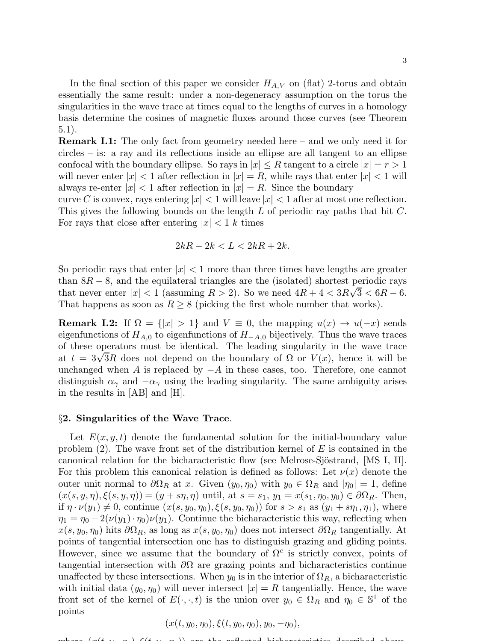In the final section of this paper we consider  $H_{A,V}$  on (flat) 2-torus and obtain essentially the same result: under a non-degeneracy assumption on the torus the singularities in the wave trace at times equal to the lengths of curves in a homology basis determine the cosines of magnetic fluxes around those curves (see Theorem 5.1).

Remark I.1: The only fact from geometry needed here – and we only need it for circles – is: a ray and its reflections inside an ellipse are all tangent to an ellipse confocal with the boundary ellipse. So rays in  $|x| \leq R$  tangent to a circle  $|x| = r > 1$ will never enter  $|x| < 1$  after reflection in  $|x| = R$ , while rays that enter  $|x| < 1$  will always re-enter  $|x| < 1$  after reflection in  $|x| = R$ . Since the boundary

curve C is convex, rays entering  $|x| < 1$  will leave  $|x| < 1$  after at most one reflection. This gives the following bounds on the length L of periodic ray paths that hit C. For rays that close after entering  $|x| < 1$  k times

$$
2kR - 2k < L < 2kR + 2k.
$$

So periodic rays that enter  $|x| < 1$  more than three times have lengths are greater than  $8R - 8$ , and the equilateral triangles are the (isolated) shortest periodic rays that never enter  $|x| < 1$  (assuming  $R > 2$ ). So we need  $4R + 4 < 3R\sqrt{3} < 6R - 6$ . That happens as soon as  $R \geq 8$  (picking the first whole number that works).

**Remark I.2:** If  $\Omega = \{|x| > 1\}$  and  $V \equiv 0$ , the mapping  $u(x) \to u(-x)$  sends eigenfunctions of  $H_{A,0}$  to eigenfunctions of  $H_{-A,0}$  bijectively. Thus the wave traces of these operators must be identical. The leading singularity in the wave trace at  $t = 3\sqrt{3}R$  does not depend on the boundary of  $\Omega$  or  $V(x)$ , hence it will be unchanged when A is replaced by  $-A$  in these cases, too. Therefore, one cannot distinguish  $\alpha_{\gamma}$  and  $-\alpha_{\gamma}$  using the leading singularity. The same ambiguity arises in the results in [AB] and [H].

### §2. Singularities of the Wave Trace.

Let  $E(x, y, t)$  denote the fundamental solution for the initial-boundary value problem  $(2)$ . The wave front set of the distribution kernel of E is contained in the canonical relation for the bicharacteristic flow (see Melrose-Sjöstrand, [MS I, II]. For this problem this canonical relation is defined as follows: Let  $\nu(x)$  denote the outer unit normal to  $\partial\Omega_R$  at x. Given  $(y_0, \eta_0)$  with  $y_0 \in \Omega_R$  and  $|\eta_0| = 1$ , define  $(x(s, y, \eta), \xi(s, y, \eta)) = (y + s\eta, \eta)$  until, at  $s = s_1$ ,  $y_1 = x(s_1, \eta_0, y_0) \in \partial\Omega_R$ . Then, if  $\eta \cdot \nu(y_1) \neq 0$ , continue  $(x(s, y_0, \eta_0), \xi(s, y_0, \eta_0))$  for  $s > s_1$  as  $(y_1 + s\eta_1, \eta_1)$ , where  $\eta_1 = \eta_0 - 2(\nu(y_1) \cdot \eta_0)\nu(y_1)$ . Continue the bicharacteristic this way, reflecting when  $x(s, y_0, \eta_0)$  hits  $\partial\Omega_R$ , as long as  $x(s, y_0, \eta_0)$  does not intersect  $\partial\Omega_R$  tangentially. At points of tangential intersection one has to distinguish grazing and gliding points. However, since we assume that the boundary of  $\Omega^c$  is strictly convex, points of tangential intersection with  $\partial\Omega$  are grazing points and bicharacteristics continue unaffected by these intersections. When  $y_0$  is in the interior of  $\Omega_R$ , a bicharacteristic with initial data  $(y_0, \eta_0)$  will never intersect  $|x| = R$  tangentially. Hence, the wave front set of the kernel of  $E(\cdot, \cdot, t)$  is the union over  $y_0 \in \Omega_R$  and  $\eta_0 \in \mathbb{S}^1$  of the points

$$
(x(t, y_0, \eta_0), \xi(t, y_0, \eta_0), y_0, -\eta_0),
$$

where  $(x(t, y, \alpha)$ ,  $\xi(t, y, \alpha)$ , are the reflected bicharateristics described above.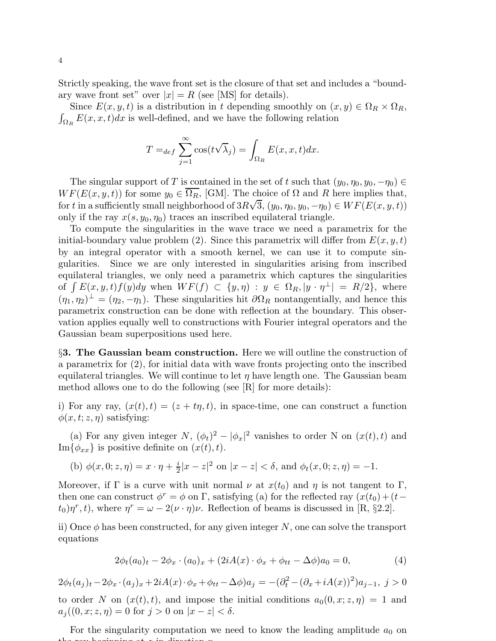Strictly speaking, the wave front set is the closure of that set and includes a "boundary wave front set" over  $|x| = R$  (see [MS] for details).

Since  $E(x, y, t)$  is a distribution in t depending smoothly on  $(x, y) \in \Omega_R \times \Omega_R$ ,  $\int_{\Omega_R} E(x, x, t) dx$  is well-defined, and we have the following relation

$$
T =_{def} \sum_{j=1}^{\infty} \cos(t\sqrt{\lambda_j}) = \int_{\Omega_R} E(x, x, t) dx.
$$

The singular support of T is contained in the set of t such that  $(y_0, \eta_0, y_0, -\eta_0) \in$  $WF(E(x, y, t))$  for some  $y_0 \in \overline{\Omega_R}$ , [GM]. The choice of  $\Omega$  and R here implies that, for t in a sufficiently small neighborhood of  $3R\sqrt{3}$ ,  $(y_0, \eta_0, y_0, -\eta_0) \in WF(E(x, y, t))$ only if the ray  $x(s, y_0, \eta_0)$  traces an inscribed equilateral triangle.

To compute the singularities in the wave trace we need a parametrix for the initial-boundary value problem (2). Since this parametrix will differ from  $E(x, y, t)$ by an integral operator with a smooth kernel, we can use it to compute singularities. Since we are only interested in singularities arising from inscribed equilateral triangles, we only need a parametrix which captures the singularities of  $\int E(x, y, t)f(y)dy$  when  $WF(f) \subset \{y, \eta\} : y \in \Omega_R, |y \cdot \eta^{\perp}| = R/2\}$ , where  $(\eta_1, \eta_2)^{\perp} = (\eta_2, -\eta_1)$ . These singularities hit  $\partial \Omega_R$  nontangentially, and hence this parametrix construction can be done with reflection at the boundary. This observation applies equally well to constructions with Fourier integral operators and the Gaussian beam superpositions used here.

§3. The Gaussian beam construction. Here we will outline the construction of a parametrix for (2), for initial data with wave fronts projecting onto the inscribed equilateral triangles. We will continue to let  $\eta$  have length one. The Gaussian beam method allows one to do the following (see [R] for more details):

i) For any ray,  $(x(t), t) = (z + t\eta, t)$ , in space-time, one can construct a function  $\phi(x, t; z, \eta)$  satisfying:

(a) For any given integer  $N$ ,  $(\phi_t)^2 - |\phi_x|^2$  vanishes to order N on  $(x(t), t)$  and  $\text{Im}\{\phi_{xx}\}\$ is positive definite on  $(x(t), t)$ .

(b) 
$$
\phi(x, 0; z, \eta) = x \cdot \eta + \frac{i}{2}|x - z|^2
$$
 on  $|x - z| < \delta$ , and  $\phi_t(x, 0; z, \eta) = -1$ .

Moreover, if Γ is a curve with unit normal  $\nu$  at  $x(t_0)$  and  $\eta$  is not tangent to Γ, then one can construct  $\phi^r = \phi$  on Γ, satisfying (a) for the reflected ray  $(x(t_0) + (t-t_0))$  $(t_0)\eta^r, t$ , where  $\eta^r = \omega - 2(\nu \cdot \eta)\nu$ . Reflection of beams is discussed in [R, §2.2].

ii) Once  $\phi$  has been constructed, for any given integer N, one can solve the transport equations

$$
2\phi_t(a_0)_t - 2\phi_x \cdot (a_0)_x + (2iA(x) \cdot \phi_x + \phi_{tt} - \Delta\phi)a_0 = 0,
$$
\n(4)

$$
2\phi_t(a_j)_t - 2\phi_x \cdot (a_j)_x + 2iA(x) \cdot \phi_x + \phi_{tt} - \Delta \phi \cdot (a_j) = -(\partial_t^2 - (\partial_x + iA(x))^2) \cdot a_{j-1}, \ j > 0
$$

to order N on  $(x(t), t)$ , and impose the initial conditions  $a_0(0, x; z, \eta) = 1$  and  $a_j((0, x; z, \eta) = 0 \text{ for } j > 0 \text{ on } |x - z| < \delta.$ 

For the singularity computation we need to know the leading amplitude  $a_0$  on the ray beginning at z in direction η.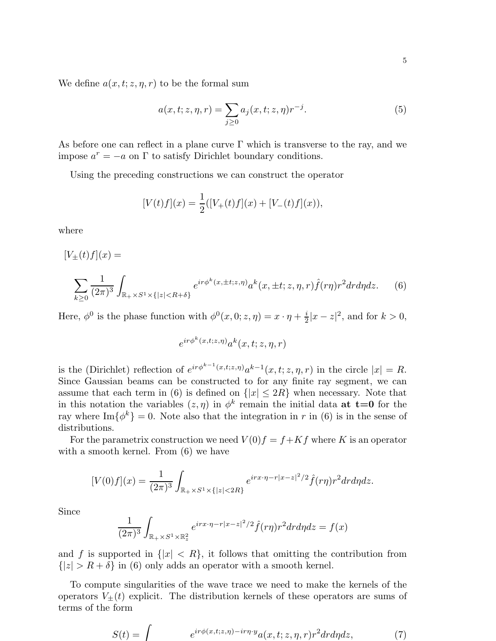We define  $a(x, t; z, \eta, r)$  to be the formal sum

$$
a(x, t; z, \eta, r) = \sum_{j \ge 0} a_j(x, t; z, \eta) r^{-j}.
$$
 (5)

As before one can reflect in a plane curve  $\Gamma$  which is transverse to the ray, and we impose  $a^r = -a$  on  $\Gamma$  to satisfy Dirichlet boundary conditions.

Using the preceding constructions we can construct the operator

$$
[V(t)f](x) = \frac{1}{2}([V_{+}(t)f](x) + [V_{-}(t)f](x)),
$$

where

 $[V_{+}(t)f](x) =$ 

$$
\sum_{k\geq 0} \frac{1}{(2\pi)^3} \int_{\mathbb{R}_+ \times S^1 \times \{|z| < R + \delta\}} e^{i r \phi^k(x, \pm t; z, \eta)} a^k(x, \pm t; z, \eta, r) \hat{f}(r\eta) r^2 dr d\eta dz. \tag{6}
$$

Here,  $\phi^0$  is the phase function with  $\phi^0(x, 0; z, \eta) = x \cdot \eta + \frac{i}{2}$  $\frac{i}{2}|x-z|^2$ , and for  $k > 0$ ,

$$
e^{ir\phi^k(x,t;z,\eta)}a^k(x,t;z,\eta,r)
$$

is the (Dirichlet) reflection of  $e^{ir\phi^{k-1}(x,t;z,\eta)}a^{k-1}(x,t;z,\eta,r)$  in the circle  $|x|=R$ . Since Gaussian beams can be constructed to for any finite ray segment, we can assume that each term in (6) is defined on  $\{|x| \leq 2R\}$  when necessary. Note that in this notation the variables  $(z, \eta)$  in  $\phi^k$  remain the initial data **at t=0** for the ray where  $\text{Im}\{\phi^k\} = 0$ . Note also that the integration in r in (6) is in the sense of distributions.

For the parametrix construction we need  $V(0)f = f + Kf$  where K is an operator with a smooth kernel. From  $(6)$  we have

$$
[V(0)f](x) = \frac{1}{(2\pi)^3} \int_{\mathbb{R}_+ \times S^1 \times \{|z| < 2R\}} e^{irx \cdot \eta - r|x - z|^2/2} \hat{f}(r\eta) r^2 dr d\eta dz.
$$

Since

$$
\frac{1}{(2\pi)^3} \int_{\mathbb{R}_+ \times S^1 \times \mathbb{R}^2_z} e^{irx \cdot \eta - r|x - z|^2/2} \hat{f}(r\eta) r^2 dr d\eta dz = f(x)
$$

and f is supported in  $\{|x| < R\}$ , it follows that omitting the contribution from  ${|z| > R + \delta}$  in (6) only adds an operator with a smooth kernel.

To compute singularities of the wave trace we need to make the kernels of the operators  $V_{\pm}(t)$  explicit. The distribution kernels of these operators are sums of terms of the form

$$
S(t) = \int e^{i r \phi(x, t; z, \eta) - ir \eta \cdot y} a(x, t; z, \eta, r) r^2 dr d\eta dz, \tag{7}
$$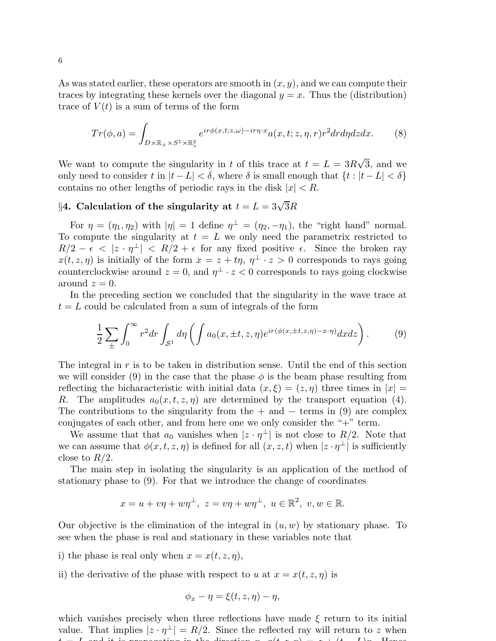As was stated earlier, these operators are smooth in  $(x, y)$ , and we can compute their traces by integrating these kernels over the diagonal  $y = x$ . Thus the (distribution) trace of  $V(t)$  is a sum of terms of the form

$$
Tr(\phi, a) = \int_{D \times \mathbb{R}_+ \times S^1 \times \mathbb{R}_z^2} e^{ir\phi(x, t; z, \omega) - ir\eta \cdot x} a(x, t; z, \eta, r) r^2 dr d\eta dz dx.
$$
 (8)

We want to compute the singularity in t of this trace at  $t = L = 3R\sqrt{3}$ , and we only need to consider t in  $|t - L| < \delta$ , where  $\delta$  is small enough that  $\{t : |t - L| < \delta\}$ contains no other lengths of periodic rays in the disk  $|x| < R$ .

# §4. Calculation of the singularity at  $t = L = 3\sqrt{3}R$

For  $\eta = (\eta_1, \eta_2)$  with  $|\eta| = 1$  define  $\eta^{\perp} = (\eta_2, -\eta_1)$ , the "right hand" normal. To compute the singularity at  $t = L$  we only need the parametrix restricted to  $R/2 - \epsilon < |z \cdot \eta^{\perp}| < R/2 + \epsilon$  for any fixed positive  $\epsilon$ . Since the broken ray  $x(t, z, \eta)$  is initially of the form  $x = z + t\eta$ ,  $\eta^{\perp} \cdot z > 0$  corresponds to rays going counterclockwise around  $z = 0$ , and  $\eta^{\perp} \cdot z < 0$  corresponds to rays going clockwise around  $z=0$ .

In the preceding section we concluded that the singularity in the wave trace at  $t = L$  could be calculated from a sum of integrals of the form

$$
\frac{1}{2}\sum_{\pm}\int_0^\infty r^2 dr \int_{\mathcal{S}^1} d\eta \left(\int a_0(x,\pm t,z,\eta) e^{ir(\phi(x,\pm t,z,\eta)-x\cdot\eta)} dx dz\right). \tag{9}
$$

The integral in  $r$  is to be taken in distribution sense. Until the end of this section we will consider (9) in the case that the phase  $\phi$  is the beam phase resulting from reflecting the bicharacteristic with initial data  $(x, \xi) = (z, \eta)$  three times in  $|x| =$ R. The amplitudes  $a_0(x, t, z, \eta)$  are determined by the transport equation (4). The contributions to the singularity from the  $+$  and  $-$  terms in (9) are complex conjugates of each other, and from here one we only consider the "+" term.

We assume that that  $a_0$  vanishes when  $|z \cdot \eta^{\perp}|$  is not close to  $R/2$ . Note that we can assume that  $\phi(x, t, z, \eta)$  is defined for all  $(x, z, t)$  when  $|z \cdot \eta^{\perp}|$  is sufficiently close to  $R/2$ .

The main step in isolating the singularity is an application of the method of stationary phase to (9). For that we introduce the change of coordinates

$$
x = u + v\eta + w\eta^{\perp}, \ z = v\eta + w\eta^{\perp}, \ u \in \mathbb{R}^2, \ v, w \in \mathbb{R}.
$$

Our objective is the elimination of the integral in  $(u, w)$  by stationary phase. To see when the phase is real and stationary in these variables note that

- i) the phase is real only when  $x = x(t, z, \eta)$ ,
- ii) the derivative of the phase with respect to u at  $x = x(t, z, \eta)$  is

$$
\phi_x - \eta = \xi(t, z, \eta) - \eta,
$$

which vanishes precisely when three reflections have made  $\xi$  return to its initial value. That implies  $|z \cdot \eta^{\perp}| = R/2$ . Since the reflected ray will return to z when t  $I = I$  and it is propagating in the direction  $n, g(t, x, n) = x + (t - I)g$ . Hence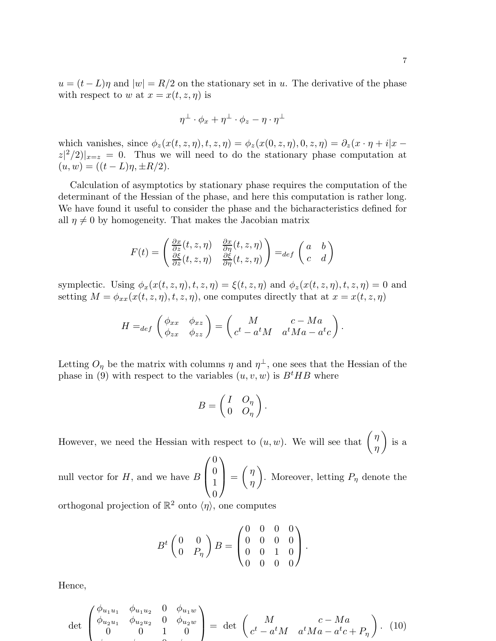$u = (t - L)\eta$  and  $|w| = R/2$  on the stationary set in u. The derivative of the phase with respect to w at  $x = x(t, z, \eta)$  is

$$
\eta^{\perp} \cdot \phi_x + \eta^{\perp} \cdot \phi_z - \eta \cdot \eta^{\perp}
$$

which vanishes, since  $\phi_z(x(t, z, \eta), t, z, \eta) = \phi_z(x(0, z, \eta), 0, z, \eta) = \partial_z(x \cdot \eta + i|x - \eta|)$  $|z|^2/2|_{x=z} = 0$ . Thus we will need to do the stationary phase computation at  $(u, w) = ((t - L)\eta, \pm R/2).$ 

Calculation of asymptotics by stationary phase requires the computation of the determinant of the Hessian of the phase, and here this computation is rather long. We have found it useful to consider the phase and the bicharacteristics defined for all  $\eta \neq 0$  by homogeneity. That makes the Jacobian matrix

$$
F(t) = \begin{pmatrix} \frac{\partial x}{\partial z}(t, z, \eta) & \frac{\partial x}{\partial \eta}(t, z, \eta) \\ \frac{\partial \xi}{\partial z}(t, z, \eta) & \frac{\partial \xi}{\partial \eta}(t, z, \eta) \end{pmatrix} =_{def} \begin{pmatrix} a & b \\ c & d \end{pmatrix}
$$

symplectic. Using  $\phi_x(x(t, z, \eta), t, z, \eta) = \xi(t, z, \eta)$  and  $\phi_z(x(t, z, \eta), t, z, \eta) = 0$  and setting  $M = \phi_{xx}(x(t, z, \eta), t, z, \eta)$ , one computes directly that at  $x = x(t, z, \eta)$ 

$$
H =_{def} \begin{pmatrix} \phi_{xx} & \phi_{xz} \\ \phi_{zx} & \phi_{zz} \end{pmatrix} = \begin{pmatrix} M & c - Ma \\ c^t - a^t M & a^t Ma - a^t c \end{pmatrix}.
$$

Letting  $O_{\eta}$  be the matrix with columns  $\eta$  and  $\eta^{\perp}$ , one sees that the Hessian of the phase in (9) with respect to the variables  $(u, v, w)$  is  $B<sup>t</sup>HB$  where

$$
B = \begin{pmatrix} I & O_{\eta} \\ 0 & O_{\eta} \end{pmatrix}.
$$

However, we need the Hessian with respect to  $(u, w)$ . We will see that  $\begin{pmatrix} \eta \\ w \end{pmatrix}$ η  $\setminus$ is a

null vector for  $H$ , and we have  $B$  $\sqrt{ }$  $\left\lfloor \right\rfloor$  $\theta$  $\theta$ 1  $\overline{0}$  $\setminus$  $\Big\} =$  $\int$ η  $\setminus$ . Moreover, letting  $P_{\eta}$  denote the

orthogonal projection of  $\mathbb{R}^2$  onto  $\langle \eta \rangle$ , one computes

$$
B^{t}\begin{pmatrix} 0 & 0 \\ 0 & P_{\eta} \end{pmatrix} B = \begin{pmatrix} 0 & 0 & 0 & 0 \\ 0 & 0 & 0 & 0 \\ 0 & 0 & 1 & 0 \\ 0 & 0 & 0 & 0 \end{pmatrix}.
$$

Hence,

$$
\det \begin{pmatrix} \phi_{u_1 u_1} & \phi_{u_1 u_2} & 0 & \phi_{u_1 w} \\ \phi_{u_2 u_1} & \phi_{u_2 u_2} & 0 & \phi_{u_2 w} \\ 0 & 0 & 1 & 0 \end{pmatrix} = \det \begin{pmatrix} M & c - Ma \\ c^t - a^t M & a^t Ma - a^t c + P_\eta \end{pmatrix}.
$$
 (10)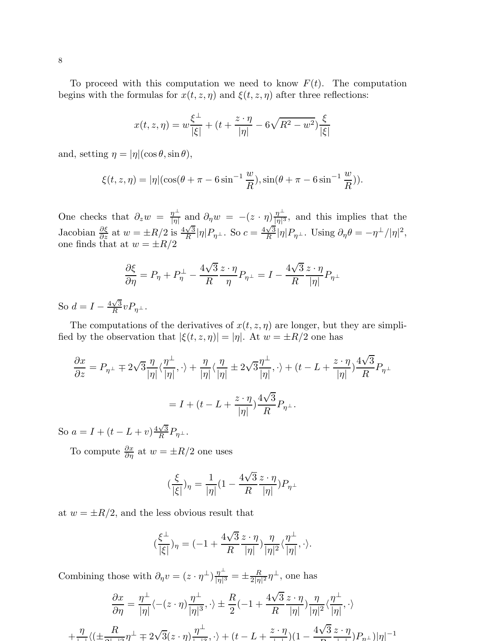To proceed with this computation we need to know  $F(t)$ . The computation begins with the formulas for  $x(t, z, \eta)$  and  $\xi(t, z, \eta)$  after three reflections:

$$
x(t, z, \eta) = w \frac{\xi^{\perp}}{|\xi|} + (t + \frac{z \cdot \eta}{|\eta|} - 6\sqrt{R^2 - w^2}) \frac{\xi}{|\xi|}
$$

and, setting  $\eta = |\eta|(\cos \theta, \sin \theta),$ 

$$
\xi(t, z, \eta) = |\eta|(\cos(\theta + \pi - 6\sin^{-1}\frac{w}{R}), \sin(\theta + \pi - 6\sin^{-1}\frac{w}{R})).
$$

One checks that  $\partial_z w = \frac{\eta^{\perp}}{|\eta|}$  $\frac{\eta^{\perp}}{|\eta|}$  and  $\partial_{\eta} w = -(z \cdot \eta) \frac{\eta^{\perp}}{|\eta|^3}$  $\frac{\eta}{\vert \eta \vert^3}$ , and this implies that the Jacobian  $\frac{\partial \xi}{\partial z}$  at  $w = \pm R/2$  is  $\frac{4\sqrt{3}}{R}$  $\frac{\sqrt{3}}{R}|\eta|P_{\eta^{\perp}}$ . So  $c = \frac{4\sqrt{3}}{R}$  $\frac{\sqrt{3}}{R} |\eta| P_{\eta}$  . Using  $\partial_{\eta} \theta = -\eta^{\perp} / |\eta|^2$ , one finds that at  $w = \pm R/2$ 

$$
\frac{\partial \xi}{\partial \eta} = P_{\eta} + P_{\eta}^{\perp} - \frac{4\sqrt{3}}{R} \frac{z \cdot \eta}{\eta} P_{\eta^{\perp}} = I - \frac{4\sqrt{3}}{R} \frac{z \cdot \eta}{|\eta|} P_{\eta^{\perp}}
$$

So  $d = I - \frac{4\sqrt{3}}{R}$  $\frac{\sqrt{3}}{R}vP_{\eta^{\perp}}.$ 

The computations of the derivatives of  $x(t, z, \eta)$  are longer, but they are simplified by the observation that  $|\xi(t, z, \eta)| = |\eta|$ . At  $w = \pm R/2$  one has

$$
\frac{\partial x}{\partial z} = P_{\eta^{\perp}} \mp 2\sqrt{3} \frac{\eta}{|\eta|} \langle \frac{\eta^{\perp}}{|\eta|}, \cdot \rangle + \frac{\eta}{|\eta|} \langle \frac{\eta}{|\eta|} \pm 2\sqrt{3} \frac{\eta^{\perp}}{|\eta|}, \cdot \rangle + (t - L + \frac{z \cdot \eta}{|\eta|}) \frac{4\sqrt{3}}{R} P_{\eta^{\perp}}
$$

$$
= I + (t - L + \frac{z \cdot \eta}{|\eta|}) \frac{4\sqrt{3}}{R} P_{\eta^{\perp}}.
$$

So  $a = I + (t - L + v) \frac{4\sqrt{3}}{R}$  $\frac{\sqrt{3}}{R}P_{\eta^{\perp}}.$ 

To compute  $\frac{\partial x}{\partial \eta}$  at  $w = \pm R/2$  one uses

$$
(\frac{\xi}{|\xi|})_\eta = \frac{1}{|\eta|}(1-\frac{4\sqrt{3}}{R}\frac{z\cdot \eta}{|\eta|})P_{\eta^\perp}
$$

at  $w = \pm R/2$ , and the less obvious result that

$$
(\frac{\xi^\perp}{|\xi|})_\eta=(-1+\frac{4\sqrt{3}}{R}\frac{z\cdot\eta}{|\eta|})\frac{\eta}{|\eta|^2}\langle\frac{\eta^\perp}{|\eta|},\cdot\rangle.
$$

Combining those with  $\partial_{\eta}v = (z \cdot \eta^{\perp})\frac{\eta^{\perp}}{|\eta|^3}$  $\frac{\eta^{\perp}}{|\eta|^3} = \pm \frac{R}{2|\eta}$  $\frac{R}{2|\eta|^2}\eta^{\perp}$ , one has

$$
\frac{\partial x}{\partial \eta} = \frac{\eta^{\perp}}{|\eta|} \langle -(z \cdot \eta) \frac{\eta^{\perp}}{|\eta|^3}, \cdot \rangle \pm \frac{R}{2}(-1 + \frac{4\sqrt{3}}{R} \frac{z \cdot \eta}{|\eta|}) \frac{\eta}{|\eta|^2} \langle \frac{\eta^{\perp}}{|\eta|}, \cdot \rangle
$$
  
+ 
$$
\frac{\eta}{\eta} \langle (\pm \frac{R}{2\sqrt{3}} \eta^{\perp} \mp 2\sqrt{3}(z \cdot \eta) \frac{\eta^{\perp}}{|\eta|^2}, \cdot \rangle + (t - L + \frac{z \cdot \eta}{\sqrt{3}})(1 - \frac{4\sqrt{3}}{R} \frac{z \cdot \eta}{|\eta|}) P_{\eta^{\perp}} \rangle |\eta|^{-1}
$$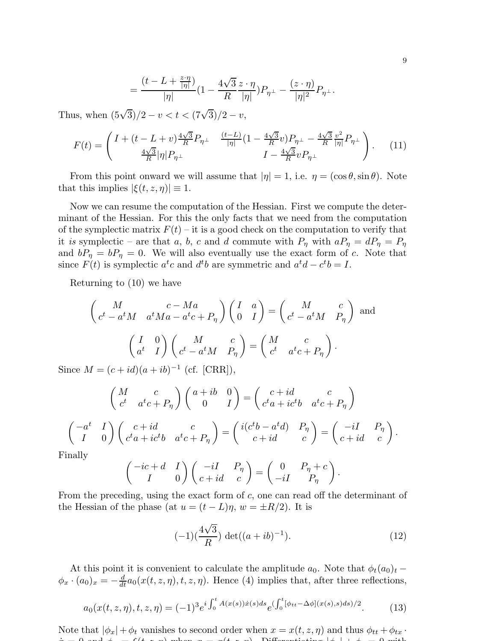$$
=\frac{(t-L+\frac{z\cdot\eta}{|\eta|})}{|\eta|}(1-\frac{4\sqrt{3}}{R}\frac{z\cdot\eta}{|\eta|})P_{\eta^\perp}-\frac{(z\cdot\eta)}{|\eta|^2}P_{\eta^\perp}.
$$

Thus, when  $(5\sqrt{3})/2 - v < t < (7\sqrt{3})/2 - v$ ,

$$
F(t) = \begin{pmatrix} I + (t - L + v) \frac{4\sqrt{3}}{R} P_{\eta} - \frac{(t - L)}{|\eta|} (1 - \frac{4\sqrt{3}}{R} v) P_{\eta} - \frac{4\sqrt{3}}{R} \frac{v^2}{|\eta|} P_{\eta} \end{pmatrix} . \tag{11}
$$

From this point onward we will assume that  $|\eta| = 1$ , i.e.  $\eta = (\cos \theta, \sin \theta)$ . Note that this implies  $|\xi(t, z, \eta)| \equiv 1$ .

Now we can resume the computation of the Hessian. First we compute the determinant of the Hessian. For this the only facts that we need from the computation of the symplectic matrix  $F(t)$  – it is a good check on the computation to verify that it is symplectic – are that a, b, c and d commute with  $P_{\eta}$  with  $aP_{\eta} = dP_{\eta} = P_{\eta}$ and  $bP_{\eta} = bP_{\eta} = 0$ . We will also eventually use the exact form of c. Note that since  $F(t)$  is symplectic  $a^t c$  and  $d^t b$  are symmetric and  $a^t d - c^t b = I$ .

Returning to (10) we have

$$
\begin{pmatrix}\nM & c - Ma \\
c^t - a^t M & a^t M a - a^t c + P_\eta\n\end{pmatrix}\n\begin{pmatrix}\nI & a \\
0 & I\n\end{pmatrix} =\n\begin{pmatrix}\nM & c \\
c^t - a^t M & P_\eta\n\end{pmatrix}
$$
 and\n
$$
\begin{pmatrix}\nI & 0 \\
a^t & I\n\end{pmatrix}\n\begin{pmatrix}\nM & c \\
c^t - a^t M & P_\eta\n\end{pmatrix} =\n\begin{pmatrix}\nM & c \\
c^t & a^t c + P_\eta\n\end{pmatrix}.
$$

Since  $M = (c + id)(a + ib)^{-1}$  (cf. [CRR]),

$$
\begin{pmatrix}\nM & c \\
c^t & a^t c + P_\eta\n\end{pmatrix}\n\begin{pmatrix}\na + ib & 0 \\
0 & I\n\end{pmatrix} =\n\begin{pmatrix}\nc + id & c \\
c^t a + ic^t b & a^t c + P_\eta\n\end{pmatrix}
$$
\n
$$
\begin{pmatrix}\n-a^t & I \\
I & 0\n\end{pmatrix}\n\begin{pmatrix}\nc + id & c \\
c^t a + ic^t b & a^t c + P_\eta\n\end{pmatrix} =\n\begin{pmatrix}\ni(c^t b - a^t d) & P_\eta \\
c + id & c\n\end{pmatrix} =\n\begin{pmatrix}\n-iI & P_\eta \\
c + id & c\n\end{pmatrix}.
$$
\nnally

Fin

$$
\begin{pmatrix} -ic+d & I \\ I & 0 \end{pmatrix} \begin{pmatrix} -iI & P_{\eta} \\ c+id & c \end{pmatrix} = \begin{pmatrix} 0 & P_{\eta} + c \\ -iI & P_{\eta} \end{pmatrix}.
$$

From the preceding, using the exact form of c, one can read off the determinant of the Hessian of the phase (at  $u = (t - L)\eta$ ,  $w = \pm R/2$ ). It is

$$
(-1)\left(\frac{4\sqrt{3}}{R}\right) \det((a+ib)^{-1}).\tag{12}
$$

At this point it is convenient to calculate the amplitude  $a_0$ . Note that  $\phi_t(a_0)_t$  −  $\phi_x \cdot (a_0)_x = -\frac{d}{dt} a_0(x(t, z, \eta), t, z, \eta)$ . Hence (4) implies that, after three reflections,

$$
a_0(x(t, z, \eta), t, z, \eta) = (-1)^3 e^{i \int_0^t A(x(s)) \dot{x}(s) ds} e^{(\int_0^t [\phi_{tt} - \Delta \phi](x(s), s) ds)/2}.
$$
 (13)

Note that  $|\phi_x| + \phi_t$  vanishes to second order when  $x = x(t, z, \eta)$  and thus  $\phi_{tt} + \phi_{tx}$ .  $x^2 = 0$  and  $y^2 = f(t, x, y)$  when  $x = x(t, x, y)$ . Differentiating  $|y| + |y| = 0$  with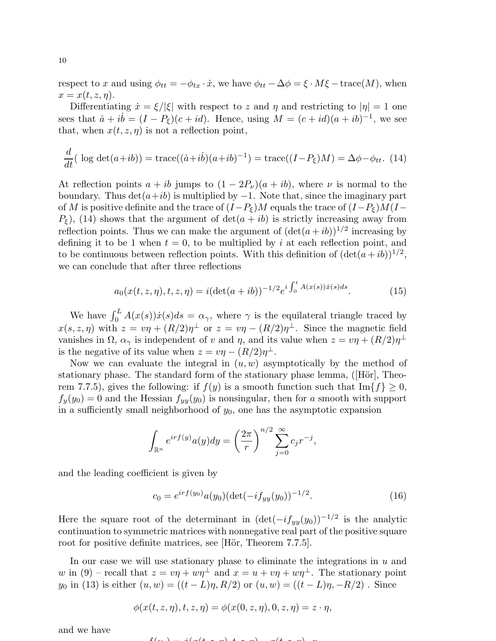respect to x and using  $\phi_{tt} = -\phi_{tx} \cdot \dot{x}$ , we have  $\phi_{tt} - \Delta \phi = \xi \cdot M \xi - \text{trace}(M)$ , when  $x = x(t, z, \eta).$ 

Differentiating  $\dot{x} = \xi/|\xi|$  with respect to z and  $\eta$  and restricting to  $|\eta| = 1$  one sees that  $\dot{a} + i\dot{b} = (I - P_{\xi})(c + id)$ . Hence, using  $M = (c + id)(a + ib)^{-1}$ , we see that, when  $x(t, z, \eta)$  is not a reflection point,

$$
\frac{d}{dt}(\log \det(a+ib)) = \text{trace}((\dot{a}+ib)(a+ib)^{-1}) = \text{trace}((I-P_{\xi})M) = \Delta \phi - \phi_{tt}.
$$
 (14)

At reflection points  $a + ib$  jumps to  $(1 - 2P_\nu)(a + ib)$ , where  $\nu$  is normal to the boundary. Thus  $\det(a+ib)$  is multiplied by  $-1$ . Note that, since the imaginary part of M is positive definite and the trace of  $(I-P_{\xi})M$  equals the trace of  $(I-P_{\xi})M(I-P_{\xi})$  $P<sub>\epsilon</sub>$ ), (14) shows that the argument of  $\det(a + ib)$  is strictly increasing away from reflection points. Thus we can make the argument of  $(\det(a+ib))^{1/2}$  increasing by defining it to be 1 when  $t = 0$ , to be multiplied by i at each reflection point, and to be continuous between reflection points. With this definition of  $(\det(a+ib))^{1/2}$ , we can conclude that after three reflections

$$
a_0(x(t, z, \eta), t, z, \eta) = i(\det(a + ib))^{-1/2} e^{i \int_0^t A(x(s)) \dot{x}(s) ds}.
$$
 (15)

We have  $\int_0^L A(x(s)) \dot{x}(s) ds = \alpha_\gamma$ , where  $\gamma$  is the equilateral triangle traced by  $x(s, z, \eta)$  with  $z = v\eta + (R/2)\eta^{\perp}$  or  $z = v\eta - (R/2)\eta^{\perp}$ . Since the magnetic field vanishes in  $\Omega$ ,  $\alpha_{\gamma}$  is independent of v and  $\eta$ , and its value when  $z = v\eta + (R/2)\eta^{\perp}$ is the negative of its value when  $z = v\eta - (R/2)\eta^{\perp}$ .

Now we can evaluate the integral in  $(u, w)$  asymptotically by the method of stationary phase. The standard form of the stationary phase lemma,  $([H\ddot{o}r],$  Theorem 7.7.5), gives the following: if  $f(y)$  is a smooth function such that  $\text{Im}{f} \geq 0$ ,  $f_y(y_0) = 0$  and the Hessian  $f_{yy}(y_0)$  is nonsingular, then for a smooth with support in a sufficiently small neighborhood of  $y_0$ , one has the asymptotic expansion

$$
\int_{\mathbb{R}^n} e^{irf(y)} a(y) dy = \left(\frac{2\pi}{r}\right)^{n/2} \sum_{j=0}^\infty c_j r^{-j},
$$

and the leading coefficient is given by

$$
c_0 = e^{irf(y_0)}a(y_0)(\det(-if_{yy}(y_0))^{-1/2}).
$$
\n(16)

Here the square root of the determinant in  $(\det(-if_{yy}(y_0))^{-1/2})$  is the analytic continuation to symmetric matrices with nonnegative real part of the positive square root for positive definite matrices, see [Hör, Theorem 7.7.5].

In our case we will use stationary phase to eliminate the integrations in  $u$  and w in (9) – recall that  $z = v\eta + w\eta^{\perp}$  and  $x = u + v\eta + w\eta^{\perp}$ . The stationary point  $y_0$  in (13) is either  $(u, w) = ((t - L)\eta, R/2)$  or  $(u, w) = ((t - L)\eta, -R/2)$ . Since

$$
\phi(x(t,z,\eta),t,z,\eta)=\phi(x(0,z,\eta),0,z,\eta)=z\cdot\eta,
$$

and we have

$$
f(x) = \phi(x) + \phi(x)
$$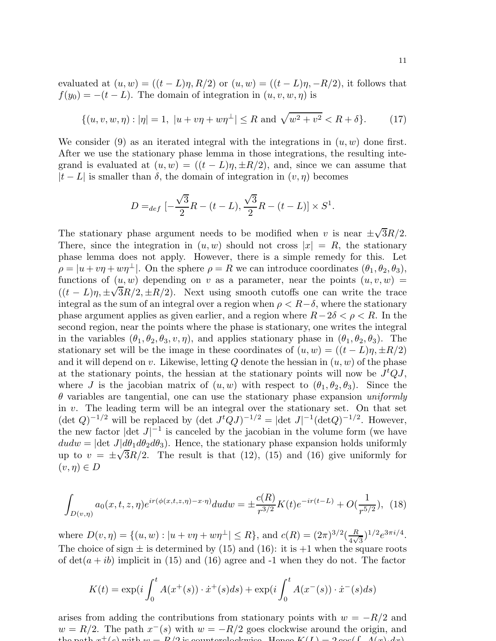evaluated at  $(u, w) = ((t - L)\eta, R/2)$  or  $(u, w) = ((t - L)\eta, -R/2)$ , it follows that  $f(y_0) = -(t - L)$ . The domain of integration in  $(u, v, w, \eta)$  is

$$
\{(u, v, w, \eta) : |\eta| = 1, \ |u + v\eta + w\eta^{\perp}| \le R \text{ and } \sqrt{w^2 + v^2} < R + \delta\}. \tag{17}
$$

We consider (9) as an iterated integral with the integrations in  $(u, w)$  done first. After we use the stationary phase lemma in those integrations, the resulting integrand is evaluated at  $(u, w) = ((t - L)\eta, \pm R/2)$ , and, since we can assume that  $|t - L|$  is smaller than  $\delta$ , the domain of integration in  $(v, \eta)$  becomes

$$
D =_{def} \left[ -\frac{\sqrt{3}}{2}R - (t - L), \frac{\sqrt{3}}{2}R - (t - L) \right] \times S^{1}.
$$

The stationary phase argument needs to be modified when v is near  $\pm \sqrt{3}R/2$ . There, since the integration in  $(u, w)$  should not cross  $|x| = R$ , the stationary phase lemma does not apply. However, there is a simple remedy for this. Let  $\rho = |u + v\eta + w\eta^{\perp}|$ . On the sphere  $\rho = R$  we can introduce coordinates  $(\theta_1, \theta_2, \theta_3)$ , functions of  $(u, w)$  depending on v as a parameter, near the points  $(u, v, w)$  =  $((t - L)\eta, \pm \sqrt{3}R/2, \pm R/2)$ . Next using smooth cutoffs one can write the trace integral as the sum of an integral over a region when  $\rho < R-\delta$ , where the stationary phase argument applies as given earlier, and a region where  $R-2\delta < \rho < R$ . In the second region, near the points where the phase is stationary, one writes the integral in the variables  $(\theta_1, \theta_2, \theta_3, v, \eta)$ , and applies stationary phase in  $(\theta_1, \theta_2, \theta_3)$ . The stationary set will be the image in these coordinates of  $(u, w) = ((t - L)\eta, \pm R/2)$ and it will depend on v. Likewise, letting Q denote the hessian in  $(u, w)$  of the phase at the stationary points, the hessian at the stationary points will now be  $J<sup>t</sup>QJ$ , where J is the jacobian matrix of  $(u, w)$  with respect to  $(\theta_1, \theta_2, \theta_3)$ . Since the  $\theta$  variables are tangential, one can use the stationary phase expansion uniformly in  $v$ . The leading term will be an integral over the stationary set. On that set  $(\det Q)^{-1/2}$  will be replaced by  $(\det J^t Q J)^{-1/2} = |\det J|^{-1} (\det Q)^{-1/2}$ . However, the new factor  $|\text{det } J|^{-1}$  is canceled by the jacobian in the volume form (we have  $dudw = |\text{det } J| d\theta_1 d\theta_2 d\theta_3$ . Hence, the stationary phase expansion holds uniformly up to  $v = \pm \sqrt{3}R/2$ . The result is that (12), (15) and (16) give uniformly for  $(v, \eta) \in D$ 

$$
\int_{D(v,\eta)} a_0(x,t,z,\eta) e^{ir(\phi(x,t,z,\eta)-x\cdot\eta)} du dw = \pm \frac{c(R)}{r^{3/2}} K(t) e^{-ir(t-L)} + O(\frac{1}{r^{5/2}}), \tag{18}
$$

where  $D(v, \eta) = \{(u, w) : |u + v\eta + w\eta^{\perp}| \le R\}$ , and  $c(R) = (2\pi)^{3/2}(\frac{R}{4\sqrt{2}})$  $\frac{R}{4\sqrt{3}}$ )<sup>1/2</sup> $e^{3\pi i/4}$ . The choice of sign  $\pm$  is determined by (15) and (16): it is  $+1$  when the square roots of  $det(a + ib)$  implicit in (15) and (16) agree and -1 when they do not. The factor

$$
K(t) = \exp(i \int_0^t A(x^+(s)) \cdot \dot{x}^+(s) ds) + \exp(i \int_0^t A(x^-(s)) \cdot \dot{x}^-(s) ds)
$$

arises from adding the contributions from stationary points with  $w = -R/2$  and  $w = R/2$ . The path  $x^{-}(s)$  with  $w = -R/2$  goes clockwise around the origin, and the path  $x^+(s)$  with  $w = R/2$  is counterclockwise. Hence  $K(I) = 2 \cos(\int A(x) dx)$ .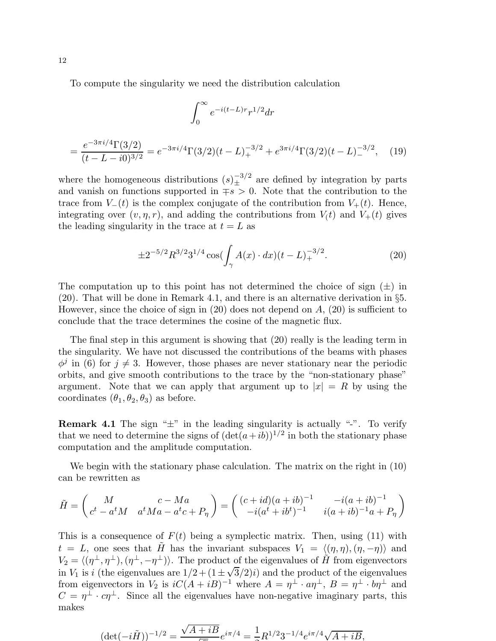To compute the singularity we need the distribution calculation

$$
\int_0^\infty e^{-i(t-L)r} r^{1/2} dr
$$
  
= 
$$
\frac{e^{-3\pi i/4} \Gamma(3/2)}{(t-L-i0)^{3/2}} = e^{-3\pi i/4} \Gamma(3/2)(t-L)_+^{-3/2} + e^{3\pi i/4} \Gamma(3/2)(t-L)_-^{-3/2},
$$
 (19)

where the homogeneous distributions  $(s)_{\pm}^{-3/2}$  are defined by integration by parts and vanish on functions supported in  $\mp s > 0$ . Note that the contribution to the trace from  $V_-(t)$  is the complex conjugate of the contribution from  $V_+(t)$ . Hence, integrating over  $(v, \eta, r)$ , and adding the contributions from  $V(t)$  and  $V_+(t)$  gives the leading singularity in the trace at  $t = L$  as

$$
\pm 2^{-5/2} R^{3/2} 3^{1/4} \cos(\int_{\gamma} A(x) \cdot dx)(t - L)_+^{-3/2}.
$$
 (20)

The computation up to this point has not determined the choice of sign  $(\pm)$  in (20). That will be done in Remark 4.1, and there is an alternative derivation in §5. However, since the choice of sign in  $(20)$  does not depend on  $A$ ,  $(20)$  is sufficient to conclude that the trace determines the cosine of the magnetic flux.

The final step in this argument is showing that  $(20)$  really is the leading term in the singularity. We have not discussed the contributions of the beams with phases  $\phi^j$  in (6) for  $j \neq 3$ . However, those phases are never stationary near the periodic orbits, and give smooth contributions to the trace by the "non-stationary phase" argument. Note that we can apply that argument up to  $|x| = R$  by using the coordinates  $(\theta_1, \theta_2, \theta_3)$  as before.

**Remark 4.1** The sign " $\pm$ " in the leading singularity is actually "-". To verify that we need to determine the signs of  $(\det(a+ib))^{1/2}$  in both the stationary phase computation and the amplitude computation.

We begin with the stationary phase calculation. The matrix on the right in (10) can be rewritten as

$$
\tilde{H} = \begin{pmatrix} M & c - Ma \\ c^t - a^t M & a^t Ma - a^t c + P_\eta \end{pmatrix} = \begin{pmatrix} (c + id)(a + ib)^{-1} & -i(a + ib)^{-1} \\ -i(a^t + ib^t)^{-1} & i(a + ib)^{-1}a + P_\eta \end{pmatrix}
$$

This is a consequence of  $F(t)$  being a symplectic matrix. Then, using (11) with  $t = L$ , one sees that  $\tilde{H}$  has the invariant subspaces  $V_1 = \langle (\eta, \eta), (\eta, -\eta) \rangle$  and  $V_2 = \langle (\eta^{\perp}, \eta^{\perp}),(\eta^{\perp}, -\eta^{\perp})\rangle$ . The product of the eigenvalues of  $\tilde{H}$  from eigenvectors in  $V_1$  is i (the eigenvalues are  $1/2 + (1 \pm \sqrt{3}/2)i$ ) and the product of the eigenvalues from eigenvectors in  $V_2$  is  $iC(A + iB)^{-1}$  where  $A = \eta^{\perp} \cdot a\eta^{\perp}$ ,  $B = \eta^{\perp} \cdot b\eta^{\perp}$  and  $C = \eta^{\perp} \cdot c\eta^{\perp}$ . Since all the eigenvalues have non-negative imaginary parts, this makes

$$
(\det(-i\tilde{H}))^{-1/2} = \frac{\sqrt{A+iB}}{\sqrt{a}}e^{i\pi/4} = \frac{1}{2}R^{1/2}3^{-1/4}e^{i\pi/4}\sqrt{A+iB},
$$

12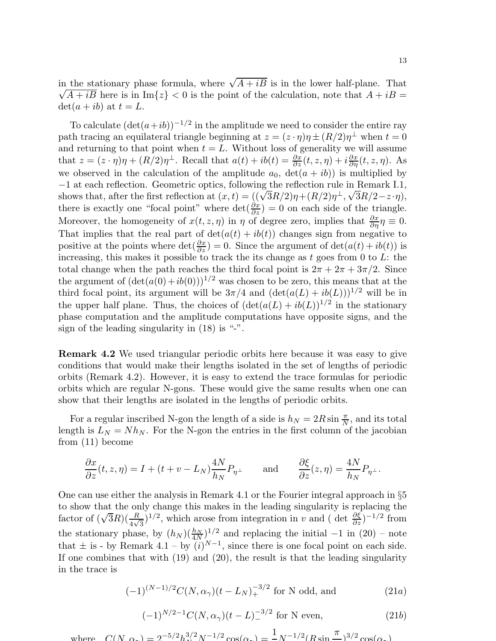in the stationary phase formula, where  $\sqrt{A+i\overline{B}}$  is in the lower half-plane. That  $\sqrt{A+iB}$  here is in Im{z} < 0 is the point of the calculation, note that  $A+iB$  =  $\det(a+ib)$  at  $t = L$ .

To calculate  $(\det(a+ib))^{-1/2}$  in the amplitude we need to consider the entire ray path tracing an equilateral triangle beginning at  $z = (z \cdot \eta)\eta \pm (R/2)\eta^{\perp}$  when  $t = 0$ and returning to that point when  $t = L$ . Without loss of generality we will assume that  $z = (z \cdot \eta)\eta + (R/2)\eta^{\perp}$ . Recall that  $a(t) + ib(t) = \frac{\partial x}{\partial z}(t, z, \eta) + i\frac{\partial x}{\partial \eta}(t, z, \eta)$ . As we observed in the calculation of the amplitude  $a_0$ ,  $det(a + ib))$  is multiplied by −1 at each reflection. Geometric optics, following the reflection rule in Remark I.1, shows that, after the first reflection at  $(x,t) = ((\sqrt{3}R/2)\eta + (R/2)\eta^{\perp}, \sqrt{3}R/2 - z \cdot \eta),$ there is exactly one "focal point" where  $\det(\frac{\partial x}{\partial z}) = 0$  on each side of the triangle. Moreover, the homogeneity of  $x(t, z, \eta)$  in  $\eta$  of degree zero, implies that  $\frac{\partial x}{\partial \eta} \eta \equiv 0$ . That implies that the real part of  $\det(a(t) + ib(t))$  changes sign from negative to positive at the points where  $\det(\frac{\partial x}{\partial z}) = 0$ . Since the argument of  $\det(a(t) + ib(t))$  is increasing, this makes it possible to track the its change as  $t$  goes from 0 to  $L$ : the total change when the path reaches the third focal point is  $2\pi + 2\pi + 3\pi/2$ . Since the argument of  $(\det(a(0)+ib(0)))^{1/2}$  was chosen to be zero, this means that at the third focal point, its argument will be  $3\pi/4$  and  $(\det(a(L) + ib(L)))^{1/2}$  will be in the upper half plane. Thus, the choices of  $(\det(a(L) + ib(L))^{1/2})$  in the stationary phase computation and the amplitude computations have opposite signs, and the sign of the leading singularity in  $(18)$  is "-".

Remark 4.2 We used triangular periodic orbits here because it was easy to give conditions that would make their lengths isolated in the set of lengths of periodic orbits (Remark 4.2). However, it is easy to extend the trace formulas for periodic orbits which are regular N-gons. These would give the same results when one can show that their lengths are isolated in the lengths of periodic orbits.

For a regular inscribed N-gon the length of a side is  $h_N = 2R \sin \frac{\pi}{N}$ , and its total length is  $L_N = Nh_N$ . For the N-gon the entries in the first column of the jacobian from (11) become

$$
\frac{\partial x}{\partial z}(t, z, \eta) = I + (t + v - L_N) \frac{4N}{h_N} P_{\eta^{\perp}} \quad \text{and} \quad \frac{\partial \xi}{\partial z}(z, \eta) = \frac{4N}{h_N} P_{\eta^{\perp}}.
$$

One can use either the analysis in Remark 4.1 or the Fourier integral approach in §5 to show that the only change this makes in the leading singularity is replacing the factor of  $(\sqrt{3}R)(\frac{R}{4\sqrt{3}})^{1/2}$ , which arose from integration in v and ( det  $\frac{\partial \xi}{\partial z}$ )<sup>-1/2</sup> from the stationary phase, by  $(h_N)(\frac{h_N}{4N})^{1/2}$  and replacing the initial  $-1$  in (20) – note that  $\pm$  is - by Remark 4.1 – by  $(i)^{N-1}$ , since there is one focal point on each side. If one combines that with (19) and (20), the result is that the leading singularity in the trace is

$$
(-1)^{(N-1)/2}C(N,\alpha_{\gamma})(t-L_N)_+^{-3/2}
$$
 for N odd, and (21*a*)

$$
(-1)^{N/2-1}C(N,\alpha_{\gamma})(t-L)^{-3/2} \text{ for N even,}
$$
 (21b)

where  $C(N, \alpha_r) = 2^{-5/2} h_r^{3/2} N^{-1/2} \cos(\alpha_r) = \frac{1}{2} N^{-1/2} (B \sin \alpha_r)$ π  $3/2 \cos(\alpha_{\gamma})$ .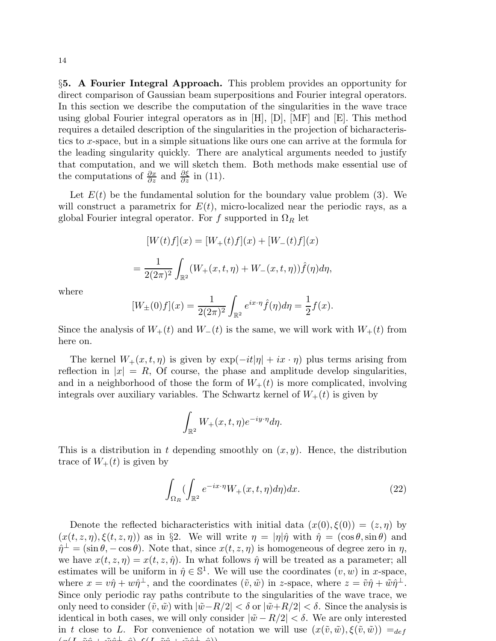§5. A Fourier Integral Approach. This problem provides an opportunity for direct comparison of Gaussian beam superpositions and Fourier integral operators. In this section we describe the computation of the singularities in the wave trace using global Fourier integral operators as in  $[H], [D], [MF]$  and  $[E]$ . This method requires a detailed description of the singularities in the projection of bicharacteristics to x-space, but in a simple situations like ours one can arrive at the formula for the leading singularity quickly. There are analytical arguments needed to justify that computation, and we will sketch them. Both methods make essential use of the computations of  $\frac{\partial x}{\partial z}$  and  $\frac{\partial \xi}{\partial z}$  in (11).

Let  $E(t)$  be the fundamental solution for the boundary value problem (3). We will construct a parametrix for  $E(t)$ , micro-localized near the periodic rays, as a global Fourier integral operator. For f supported in  $\Omega_R$  let

$$
[W(t)f](x) = [W_+(t)f](x) + [W_-(t)f](x)
$$
  
= 
$$
\frac{1}{2(2\pi)^2} \int_{\mathbb{R}^2} (W_+(x,t,\eta) + W_-(x,t,\eta)) \hat{f}(\eta) d\eta,
$$

where

$$
[W_{\pm}(0)f](x) = \frac{1}{2(2\pi)^2} \int_{\mathbb{R}^2} e^{ix \cdot \eta} \hat{f}(\eta) d\eta = \frac{1}{2} f(x).
$$

Since the analysis of  $W_+(t)$  and  $W_-(t)$  is the same, we will work with  $W_+(t)$  from here on.

The kernel  $W_+(x, t, \eta)$  is given by  $\exp(-it|\eta| + ix \cdot \eta)$  plus terms arising from reflection in  $|x| = R$ , Of course, the phase and amplitude develop singularities, and in a neighborhood of those the form of  $W_+(t)$  is more complicated, involving integrals over auxiliary variables. The Schwartz kernel of  $W_+(t)$  is given by

$$
\int_{\mathbb{R}^2} W_+(x, t, \eta) e^{-iy \cdot \eta} d\eta.
$$

This is a distribution in t depending smoothly on  $(x, y)$ . Hence, the distribution trace of  $W_+(t)$  is given by

$$
\int_{\Omega_R} \left( \int_{\mathbb{R}^2} e^{-ix \cdot \eta} W_+(x, t, \eta) d\eta \right) dx. \tag{22}
$$

Denote the reflected bicharacteristics with initial data  $(x(0), \xi(0)) = (z, \eta)$  by  $(x(t, z, \eta), \xi(t, z, \eta))$  as in §2. We will write  $\eta = |\eta|\hat{\eta}$  with  $\hat{\eta} = (\cos \theta, \sin \theta)$  and  $\hat{\eta}^{\perp} = (\sin \theta, -\cos \theta)$ . Note that, since  $x(t, z, \eta)$  is homogeneous of degree zero in  $\eta$ , we have  $x(t, z, \eta) = x(t, z, \hat{\eta})$ . In what follows  $\hat{\eta}$  will be treated as a parameter; all estimates will be uniform in  $\hat{\eta} \in \mathbb{S}^1$ . We will use the coordinates  $(v, w)$  in x-space, where  $x = v\hat{\eta} + w\hat{\eta}^{\perp}$ , and the coordinates  $(\tilde{v}, \tilde{w})$  in z-space, where  $z = \tilde{v}\hat{\eta} + \tilde{w}\hat{\eta}^{\perp}$ . Since only periodic ray paths contribute to the singularities of the wave trace, we only need to consider  $(\tilde{v}, \tilde{w})$  with  $|\tilde{w} - R/2| < \delta$  or  $|\tilde{w} + R/2| < \delta$ . Since the analysis is identical in both cases, we will only consider  $|\tilde{w} - R/2| < \delta$ . We are only interested in t close to L. For convenience of notation we will use  $(x(\tilde{v}, \tilde{w}), \xi(\tilde{v}, \tilde{w})) =_{def}$  $(\gamma(L, \tilde{x}, \hat{a}) + \gamma(\gamma(L, \tilde{x}, \hat{a}) + \gamma(\gamma(L, \tilde{x}, \hat{a}))$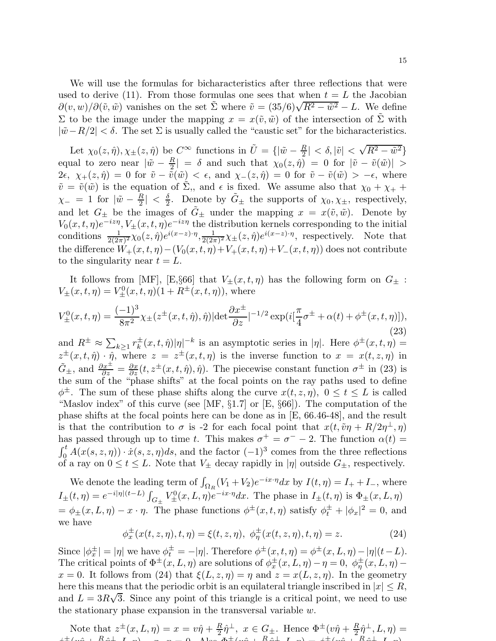We will use the formulas for bicharacteristics after three reflections that were used to derive (11). From those formulas one sees that when  $t = L$  the Jacobian  $\partial(v, w)/\partial(\tilde{v}, \tilde{w})$  vanishes on the set  $\tilde{\Sigma}$  where  $\tilde{v} = (35/6)\sqrt{R^2 - \tilde{w}^2} - L$ . We define Σ to be the image under the mapping  $x = x(\tilde{v}, \tilde{w})$  of the intersection of  $\tilde{Σ}$  with  $|\tilde{w}-R/2| < \delta$ . The set  $\Sigma$  is usually called the "caustic set" for the bicharacteristics.

Let  $\chi_0(z, \hat{\eta}), \chi_{\pm}(z, \hat{\eta})$  be  $C^{\infty}$  functions in  $\tilde{U} = \{|\tilde{w} - \frac{R}{2}\}$  $\left| \frac{R}{2} \right| < \delta, |\tilde{v}| < \sqrt{R^2 - \tilde{w}^2}$ equal to zero near  $|\tilde{w} - \frac{R}{2}|$  $\left| \frac{\partial E}{\partial z} \right| = \delta$  and such that  $\chi_0(z, \hat{\eta}) = 0$  for  $|\tilde{v} - \tilde{v}(\tilde{w})| >$ 2 $\epsilon, \chi_+(z, \hat{\eta}) = 0$  for  $\tilde{v} - \tilde{\tilde{v}}(\tilde{w}) < \epsilon$ , and  $\chi_-(z, \hat{\eta}) = 0$  for  $\tilde{v} - \tilde{v}(\tilde{w}) > -\epsilon$ , where  $\tilde{v} = \tilde{v}(\tilde{w})$  is the equation of  $\tilde{\Sigma}$ , and  $\epsilon$  is fixed. We assume also that  $\chi_0 + \chi_+$  +  $\chi_{-}$  = 1 for  $|\tilde{w} - \frac{R}{2}|$  $\frac{R}{2}| \, < \, \frac{\delta}{2}$  $\frac{\delta}{2}$ . Denote by  $\tilde{G}_{\pm}$  the supports of  $\chi_0, \chi_{\pm}$ , respectively, and let  $G_{\pm}$  be the images of  $\tilde{G}_{\pm}$  under the mapping  $x = x(\tilde{v}, \tilde{w})$ . Denote by  $V_0(x,t,\eta)e^{-iz\eta}, V_{\pm}(x,t,\eta)e^{-iz\eta}$  the distribution kernels corresponding to the initial conditions  $\frac{1}{2(2\pi)^2}\chi_0(z,\hat{\eta})e^{i(x-z)\cdot\eta}, \frac{1}{2(2\pi)^2}$  $\frac{1}{2(2\pi)^2}\chi_{\pm}(z,\hat{\eta})e^{i(x-z)\cdot\eta}$ , respectively. Note that the difference  $W_+(x,t,\eta)-(V_0(x,t,\eta)+V_+(x,t,\eta)+V_-(x,t,\eta))$  does not contribute to the singularity near  $t = L$ .

It follows from [MF], [E,§66] that  $V_{\pm}(x,t,\eta)$  has the following form on  $G_{\pm}$ :  $V_{\pm}(x,t,\eta) = V_{\pm}^{0}(x,t,\eta)(1 + R^{\pm}(x,t,\eta)),$  where

$$
V_{\pm}^{0}(x,t,\eta) = \frac{(-1)^{3}}{8\pi^{2}} \chi_{\pm}(z^{\pm}(x,t,\hat{\eta}),\hat{\eta}) |\text{det}\frac{\partial x^{\pm}}{\partial z}|^{-1/2} \exp(i[\frac{\pi}{4}\sigma^{\pm} + \alpha(t) + \phi^{\pm}(x,t,\eta)]),
$$
\n(23)

and  $R^{\pm} \approx \sum_{k\geq 1} r_k^{\pm}(x, t, \hat{\eta}) |\eta|^{-k}$  is an asymptotic series in  $|\eta|$ . Here  $\phi^{\pm}(x, t, \eta) =$  $z^{\pm}(x,t,\hat{\eta}) \cdot \hat{\eta}$ , where  $z = z^{\pm}(x,t,\eta)$  is the inverse function to  $x = x(t,z,\eta)$  in  $\tilde{G}_{\pm}$ , and  $\frac{\partial x^{\pm}}{\partial z} = \frac{\partial x}{\partial z}(t, z^{\pm}(x, t, \hat{\eta}), \hat{\eta})$ . The piecewise constant function  $\sigma^{\pm}$  in (23) is the sum of the "phase shifts" at the focal points on the ray paths used to define  $\phi^{\pm}$ . The sum of these phase shifts along the curve  $x(t, z, \eta)$ ,  $0 \le t \le L$  is called "Maslov index" of this curve (see [MF,  $\S1.7$ ] or [E,  $\S66$ ]). The computation of the phase shifts at the focal points here can be done as in [E, 66.46-48], and the result is that the contribution to  $\sigma$  is -2 for each focal point that  $x(t, \tilde{\nu}\eta + R/2\eta^{\perp}, \eta)$ has passed through up to time t. This makes  $\sigma^+ = \sigma^- - 2$ . The function  $\alpha(t) =$  $\int_0^t A(x(s, z, \eta)) \cdot \dot{x}(s, z, \eta) ds$ , and the factor  $(-1)^3$  comes from the three reflections of a ray on  $0 \le t \le L$ . Note that  $V_{\pm}$  decay rapidly in  $|\eta|$  outside  $G_{\pm}$ , respectively.

We denote the leading term of  $\int_{\Omega_R} (V_1 + V_2)e^{-ix \cdot \eta} dx$  by  $I(t, \eta) = I_+ + I_-$ , where  $I_{\pm}(t,\eta) = e^{-i|\eta|(t-L)} \int_{G_{\pm}} V_{\pm}^{0}(x,L,\eta) e^{-ix\cdot \eta} dx$ . The phase in  $I_{\pm}(t,\eta)$  is  $\Phi_{\pm}(x,L,\eta)$  $=\phi_{\pm}(x,L,\eta)-x\cdot\eta$ . The phase functions  $\phi^{\pm}(x,t,\eta)$  satisfy  $\phi^{\pm}_t+|\phi_x|^2=0$ , and we have

$$
\phi_x^{\pm}(x(t,z,\eta),t,\eta) = \xi(t,z,\eta), \ \phi_\eta^{\pm}(x(t,z,\eta),t,\eta) = z.
$$
 (24)

Since  $|\phi_x^{\pm}| = |\eta|$  we have  $\phi_t^{\pm} = -|\eta|$ . Therefore  $\phi^{\pm}(x, t, \eta) = \phi^{\pm}(x, L, \eta) - |\eta| (t - L)$ . The critical points of  $\Phi^{\pm}(x,L,\eta)$  are solutions of  $\phi^{\pm}_x(x,L,\eta) - \eta = 0$ ,  $\phi^{\pm}_\eta(x,L,\eta) - \eta$  $x = 0$ . It follows from (24) that  $\xi(L, z, \eta) = \eta$  and  $z = x(L, z, \eta)$ . In the geometry here this means that the periodic orbit is an equilateral triangle inscribed in  $|x| \leq R$ , and  $L = 3R\sqrt{3}$ . Since any point of this triangle is a critical point, we need to use the stationary phase expansion in the transversal variable  $w$ .

Note that  $z^{\pm}(x, L, \eta) = x = v\hat{\eta} + \frac{R}{2}$  $\frac{R}{2}\hat{\eta}^{\perp}$ ,  $x \in G_{\pm}$ . Hence  $\Phi^{\pm}(v\hat{\eta} + \frac{R}{2})$  $\frac{\pi}{2} \hat{\eta}^{\perp} , L , \eta) =$  $\downarrow \pm (\omega \hat{p} + R \hat{p} + I, p)$  =  $\omega$  = 0. Also  $\Phi \pm (\omega \hat{p} + R \hat{p} + I, p)$  =  $\downarrow \pm (\omega \hat{p} + I, p)$ R  $\hat{z}$  $\perp$   $\Gamma$ ,  $\sim$ )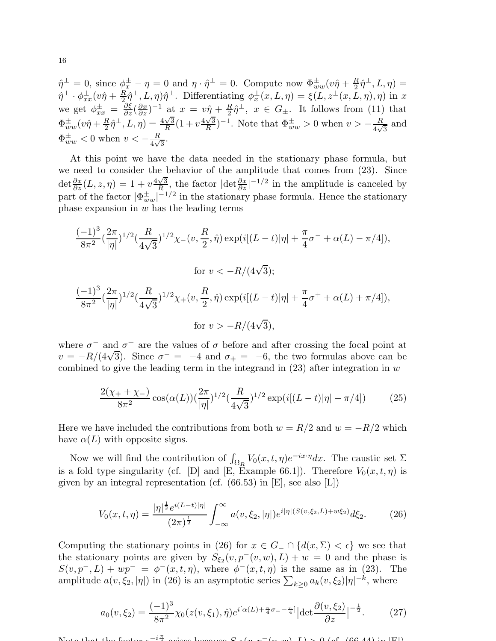$\hat{\eta}^{\perp} = 0$ , since  $\phi_x^{\pm} - \eta = 0$  and  $\eta \cdot \hat{\eta}^{\perp} = 0$ . Compute now  $\Phi_{ww}^{\pm}(v\hat{\eta} + \frac{R}{2})$  $\frac{R}{2}\hat{\eta}^{\perp}$ ,  $L, \eta$ ) =  $\hat{\eta}^{\perp} \cdot \phi_{xx}^{\pm}(v\hat{\eta} + \frac{R}{2})$  $\frac{dR}{dt}\hat{\eta}^{\perp}, L, \eta$ ) $\hat{\eta}^{\perp}$ . Differentiating  $\phi_x^{\pm}(x, L, \eta) = \xi(L, z^{\pm}(x, L, \eta), \eta)$  in x we get  $\phi_{xx}^{\pm} = \frac{\partial \xi}{\partial z} (\frac{\partial x}{\partial z})^{-1}$  at  $x = v\hat{\eta} + \frac{R}{2}$  $\frac{1}{2}\hat{\eta}^{\perp}$ ,  $x \in G_{\pm}$ . It follows from (11) that  $\Phi_{ww}^{\pm}(v\hat{\eta}+\frac{R}{2}% )^{2}(\hat{\eta}+\hat{\eta}^{\prime})$  $\frac{R}{2}\hat{\eta}^{\perp}, L, \eta$  =  $\frac{4\sqrt{3}}{R}$  $\frac{\sqrt{3}}{R}(1+v\frac{4\sqrt{3}}{R})$  $(\frac{\sqrt{3}}{R})^{-1}$ . Note that  $\Phi_{ww}^{\pm} > 0$  when  $v > -\frac{R}{4\sqrt{3}}$  $\frac{R}{4\sqrt{3}}$  and  $\Phi_{ww}^{\pm}$  < 0 when  $v < -\frac{R}{4\sqrt{}}$  $rac{R}{4\sqrt{3}}$ .

At this point we have the data needed in the stationary phase formula, but we need to consider the behavior of the amplitude that comes from (23). Since det  $\frac{\partial x}{\partial z}(L, z, \eta) = 1 + v \frac{4\sqrt{3}}{R}$  $\frac{\sqrt{3}}{R}$ , the factor  $|\text{det} \frac{\partial x}{\partial z}|^{-1/2}$  in the amplitude is canceled by part of the factor  $|\Phi_{ww}^{\pm}|^{-1/2}$  in the stationary phase formula. Hence the stationary phase expansion in  $w$  has the leading terms

$$
\frac{(-1)^3}{8\pi^2} \left(\frac{2\pi}{|\eta|}\right)^{1/2} \left(\frac{R}{4\sqrt{3}}\right)^{1/2} \chi_{-}(v, \frac{R}{2}, \hat{\eta}) \exp\left(i[(L-t)|\eta| + \frac{\pi}{4}\sigma^{-} + \alpha(L) - \pi/4]\right),
$$
  
for  $v < -R/(4\sqrt{3})$ ;  

$$
\frac{(-1)^3}{8\pi^2} \left(\frac{2\pi}{|\eta|}\right)^{1/2} \left(\frac{R}{4\sqrt{3}}\right)^{1/2} \chi_{+}(v, \frac{R}{2}, \hat{\eta}) \exp\left(i[(L-t)|\eta| + \frac{\pi}{4}\sigma^{+} + \alpha(L) + \pi/4]\right),
$$
  
for  $v > -R/(4\sqrt{3})$ ,

where  $\sigma^-$  and  $\sigma^+$  are the values of  $\sigma$  before and after crossing the focal point at  $v = -R/(4\sqrt{3})$ . Since  $\sigma^- = -4$  and  $\sigma_+ = -6$ , the two formulas above can be combined to give the leading term in the integrand in  $(23)$  after integration in w

$$
\frac{2(\chi_+ + \chi_-)}{8\pi^2} \cos(\alpha(L)) \left(\frac{2\pi}{|\eta|}\right)^{1/2} \left(\frac{R}{4\sqrt{3}}\right)^{1/2} \exp(i[(L-t)|\eta| - \pi/4]) \tag{25}
$$

Here we have included the contributions from both  $w = R/2$  and  $w = -R/2$  which have  $\alpha(L)$  with opposite signs.

Now we will find the contribution of  $\int_{\Omega_R} V_0(x,t,\eta)e^{-ix\cdot\eta}dx$ . The caustic set  $\Sigma$ is a fold type singularity (cf. [D] and [E, Example 66.1]). Therefore  $V_0(x, t, \eta)$  is given by an integral representation (cf.  $(66.53)$  in [E], see also [L])

$$
V_0(x,t,\eta) = \frac{|\eta|^{\frac{1}{2}}e^{i(L-t)|\eta|}}{(2\pi)^{\frac{1}{2}}} \int_{-\infty}^{\infty} a(v,\xi_2,|\eta|)e^{i|\eta|(S(v,\xi_2,L)+w\xi_2)}d\xi_2.
$$
 (26)

Computing the stationary points in (26) for  $x \in G_-\cap \{d(x,\Sigma) < \epsilon\}$  we see that the stationary points are given by  $S_{\xi_2}(v, p^-(v, w), L) + w = 0$  and the phase is  $S(v, p^-, L) + w p^- = \phi^-(x, t, \eta)$ , where  $\phi^-(x, t, \eta)$  is the same as in (23). The amplitude  $a(v, \xi_2, |\eta|)$  in (26) is an asymptotic series  $\sum_{k\geq 0} a_k(v, \xi_2) |\eta|^{-k}$ , where

$$
a_0(v,\xi_2) = \frac{(-1)^3}{8\pi^2} \chi_0(z(v,\xi_1),\hat{\eta}) e^{i[\alpha(L) + \frac{\pi}{4}\sigma_- - \frac{\pi}{4}]} |\det \frac{\partial(v,\xi_2)}{\partial z}|^{-\frac{1}{2}}.
$$
 (27)

 $N_{\alpha}$  that the factor e  $-i$ π  $\frac{4}{4}$  arises because  $S_{\alpha}(v, p-(v, w), L) > 0$  (of (66.44) in [F]). 2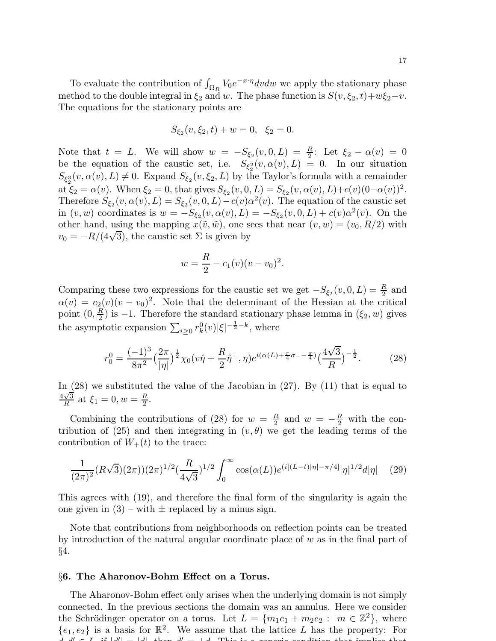To evaluate the contribution of  $\int_{\Omega_R} V_0 e^{-x \cdot \eta} dv dw$  we apply the stationary phase method to the double integral in  $\xi_2$  and w. The phase function is  $S(v, \xi_2, t)+w\xi_2-v$ . The equations for the stationary points are

$$
S_{\xi_2}(v, \xi_2, t) + w = 0, \ \xi_2 = 0.
$$

Note that  $t = L$ . We will show  $w = -S_{\xi_2}(v, 0, L) = \frac{R}{2}$ : Let  $\xi_2 - \alpha(v) = 0$ be the equation of the caustic set, i.e.  $S_{\xi_2^2}(v, \alpha(v), L) = 0$ . In our situation  $S_{\xi_2^3}(v, \alpha(v), L) \neq 0$ . Expand  $S_{\xi_2}(v, \xi_2, L)$  by the Taylor's formula with a remainder at  $\xi_2 = \alpha(v)$ . When  $\xi_2 = 0$ , that gives  $S_{\xi_2}(v, 0, L) = S_{\xi_2}(v, \alpha(v), L) + c(v)(0 - \alpha(v))^2$ . Therefore  $S_{\xi_2}(v, \alpha(v), L) = S_{\xi_2}(v, 0, L) - c(v) \alpha^2(v)$ . The equation of the caustic set in  $(v, w)$  coordinates is  $w = -S_{\xi_2}(v, \alpha(v), L) = -S_{\xi_2}(v, 0, L) + c(v)\alpha^2(v)$ . On the other hand, using the mapping  $x(\tilde{v}, \tilde{w})$ , one sees that near  $(v, w) = (v_0, R/2)$  with  $v_0 = -R/(4\sqrt{3})$ , the caustic set  $\Sigma$  is given by

$$
w = \frac{R}{2} - c_1(v)(v - v_0)^2.
$$

Comparing these two expressions for the caustic set we get  $-S_{\xi_2}(v, 0, L) = \frac{R}{2}$  and  $\alpha(v) = c_2(v)(v - v_0)^2$ . Note that the determinant of the Hessian at the critical point  $(0, \frac{R}{2})$  $\frac{R}{2}$ ) is -1. Therefore the standard stationary phase lemma in  $(\xi_2, w)$  gives the asymptotic expansion  $\sum_{i\geq 0} r_k^0(v)|\xi|^{-\frac{1}{2}-k}$ , where

$$
r_0^0 = \frac{(-1)^3}{8\pi^2} \left(\frac{2\pi}{|\eta|}\right)^{\frac{1}{2}} \chi_0(v\hat{\eta} + \frac{R}{2}\hat{\eta}^{\perp}, \eta) e^{i(\alpha(L) + \frac{\pi}{4}\sigma_{-} - \frac{\pi}{4})} \left(\frac{4\sqrt{3}}{R}\right)^{-\frac{1}{2}}.
$$
 (28)

In (28) we substituted the value of the Jacobian in (27). By (11) that is equal to  $\sqrt{3}$  $\frac{\sqrt{3}}{R}$  at  $\xi_1 = 0, w = \frac{R}{2}$  $\frac{R}{2}$ .

Combining the contributions of (28) for  $w = \frac{R}{2}$  $\frac{R}{2}$  and  $w = -\frac{R}{2}$  with the contribution of (25) and then integrating in  $(v, \theta)$  we get the leading terms of the contribution of  $W_+(t)$  to the trace:

$$
\frac{1}{(2\pi)^2} (R\sqrt{3})(2\pi)^{1/2} \left(\frac{R}{4\sqrt{3}}\right)^{1/2} \int_0^\infty \cos(\alpha(L)) e^{(i[(L-t)|\eta| - \pi/4]} |\eta|^{1/2} d|\eta| \tag{29}
$$

This agrees with (19), and therefore the final form of the singularity is again the one given in  $(3)$  – with  $\pm$  replaced by a minus sign.

Note that contributions from neighborhoods on reflection points can be treated by introduction of the natural angular coordinate place of  $w$  as in the final part of §4.

### §6. The Aharonov-Bohm Effect on a Torus.

The Aharonov-Bohm effect only arises when the underlying domain is not simply connected. In the previous sections the domain was an annulus. Here we consider the Schrödinger operator on a torus. Let  $L = \{m_1e_1 + m_2e_2 : m \in \mathbb{Z}^2\}$ , where  ${e_1, e_2}$  is a basis for  $\mathbb{R}^2$ . We assume that the lattice L has the property: For  $d/d \in I$ , if  $|d| = |d|$ , then  $d' = |d|$ . This is a generic condition that implies that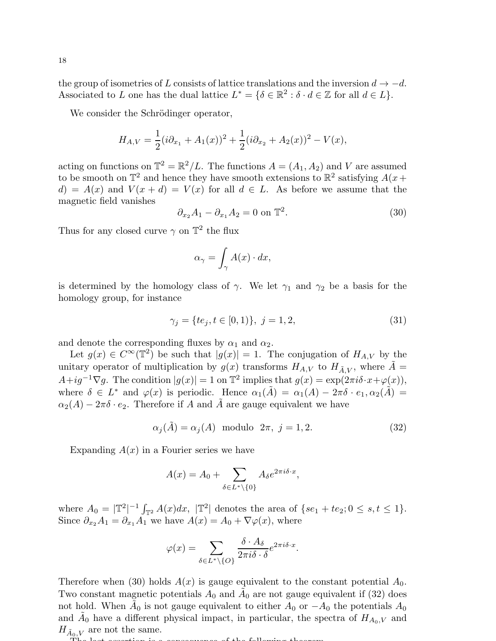the group of isometries of L consists of lattice translations and the inversion  $d \to -d$ . Associated to L one has the dual lattice  $L^* = \{ \delta \in \mathbb{R}^2 : \delta \cdot d \in \mathbb{Z} \text{ for all } d \in L \}.$ 

We consider the Schrödinger operator,

$$
H_{A,V} = \frac{1}{2}(i\partial_{x_1} + A_1(x))^2 + \frac{1}{2}(i\partial_{x_2} + A_2(x))^2 - V(x),
$$

acting on functions on  $\mathbb{T}^2 = \mathbb{R}^2/L$ . The functions  $A = (A_1, A_2)$  and V are assumed to be smooth on  $\mathbb{T}^2$  and hence they have smooth extensions to  $\mathbb{R}^2$  satisfying  $A(x +$  $d) = A(x)$  and  $V(x + d) = V(x)$  for all  $d \in L$ . As before we assume that the magnetic field vanishes

$$
\partial_{x_2} A_1 - \partial_{x_1} A_2 = 0 \text{ on } \mathbb{T}^2. \tag{30}
$$

Thus for any closed curve  $\gamma$  on  $\mathbb{T}^2$  the flux

$$
\alpha_{\gamma} = \int_{\gamma} A(x) \cdot dx,
$$

is determined by the homology class of  $\gamma$ . We let  $\gamma_1$  and  $\gamma_2$  be a basis for the homology group, for instance

$$
\gamma_j = \{te_j, t \in [0, 1)\}, \ j = 1, 2,\tag{31}
$$

and denote the corresponding fluxes by  $\alpha_1$  and  $\alpha_2$ .

Let  $g(x) \in C^{\infty}(\mathbb{T}^2)$  be such that  $|g(x)| = 1$ . The conjugation of  $H_{A,V}$  by the unitary operator of multiplication by  $g(x)$  transforms  $H_{A,V}$  to  $H_{\tilde{A},V}$ , where  $\tilde{A} =$  $A+ig^{-1}\nabla g$ . The condition  $|g(x)|=1$  on  $\mathbb{T}^2$  implies that  $g(x)=\exp(2\pi i\delta\cdot x+\varphi(x)),$ where  $\delta \in L^*$  and  $\varphi(x)$  is periodic. Hence  $\alpha_1(\tilde{A}) = \alpha_1(A) - 2\pi \delta \cdot e_1, \alpha_2(\tilde{A}) =$  $\alpha_2(A) - 2\pi \delta \cdot e_2$ . Therefore if A and A are gauge equivalent we have

$$
\alpha_j(\tilde{A}) = \alpha_j(A) \text{ modulo } 2\pi, j = 1, 2. \tag{32}
$$

Expanding  $A(x)$  in a Fourier series we have

$$
A(x) = A_0 + \sum_{\delta \in L^* \setminus \{0\}} A_{\delta} e^{2\pi i \delta \cdot x},
$$

where  $A_0 = |\mathbb{T}^2|^{-1} \int_{\mathbb{T}^2} A(x) dx$ ,  $|\mathbb{T}^2|$  denotes the area of  $\{se_1 + te_2 : 0 \le s, t \le 1\}$ . Since  $\partial_{x_2}A_1 = \partial_{x_1}A_1$  we have  $A(x) = A_0 + \nabla \varphi(x)$ , where

$$
\varphi(x) = \sum_{\delta \in L^* \setminus \{O\}} \frac{\delta \cdot A_\delta}{2\pi i \delta \cdot \delta} e^{2\pi i \delta \cdot x}.
$$

Therefore when (30) holds  $A(x)$  is gauge equivalent to the constant potential  $A_0$ . Two constant magnetic potentials  $A_0$  and  $\tilde{A}_0$  are not gauge equivalent if (32) does not hold. When  $\tilde{A}_0$  is not gauge equivalent to either  $A_0$  or  $-A_0$  the potentials  $A_0$ and  $\tilde{A}_0$  have a different physical impact, in particular, the spectra of  $H_{A_0,V}$  and  $H_{\tilde{A}_0,V}$  are not the same.

The last assertion is a consequence of the following theorem.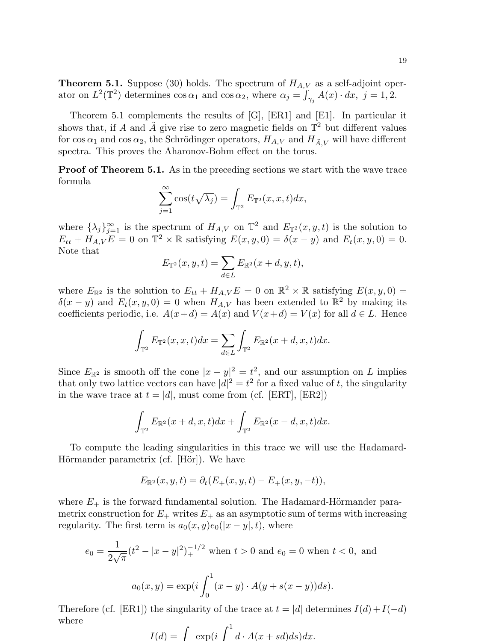**Theorem 5.1.** Suppose (30) holds. The spectrum of  $H_{A,V}$  as a self-adjoint operator on  $L^2(\mathbb{T}^2)$  determines  $\cos \alpha_1$  and  $\cos \alpha_2$ , where  $\alpha_j = \int_{\gamma_j} A(x) \cdot dx$ ,  $j = 1, 2$ .

Theorem 5.1 complements the results of [G], [ER1] and [E1]. In particular it shows that, if A and  $\tilde{A}$  give rise to zero magnetic fields on  $\mathbb{T}^2$  but different values for  $\cos \alpha_1$  and  $\cos \alpha_2$ , the Schrödinger operators,  $H_{A,V}$  and  $H_{\tilde{A},V}$  will have different spectra. This proves the Aharonov-Bohm effect on the torus.

Proof of Theorem 5.1. As in the preceding sections we start with the wave trace formula

$$
\sum_{j=1}^{\infty} \cos(t\sqrt{\lambda_j}) = \int_{\mathbb{T}^2} E_{\mathbb{T}^2}(x, x, t) dx,
$$

where  $\{\lambda_j\}_{j=1}^{\infty}$  is the spectrum of  $H_{A,V}$  on  $\mathbb{T}^2$  and  $E_{\mathbb{T}^2}(x,y,t)$  is the solution to  $E_{tt} + H_{A,V}E = 0$  on  $\mathbb{T}^2 \times \mathbb{R}$  satisfying  $E(x, y, 0) = \delta(x - y)$  and  $E_t(x, y, 0) = 0$ . Note that

$$
E_{\mathbb{T}^2}(x, y, t) = \sum_{d \in L} E_{\mathbb{R}^2}(x + d, y, t),
$$

where  $E_{\mathbb{R}^2}$  is the solution to  $E_{tt} + H_{A,V}E = 0$  on  $\mathbb{R}^2 \times \mathbb{R}$  satisfying  $E(x, y, 0) =$  $\delta(x-y)$  and  $E_t(x,y,0) = 0$  when  $H_{A,V}$  has been extended to  $\mathbb{R}^2$  by making its coefficients periodic, i.e.  $A(x+d) = A(x)$  and  $V(x+d) = V(x)$  for all  $d \in L$ . Hence

$$
\int_{\mathbb{T}^2} E_{\mathbb{T}^2}(x, x, t) dx = \sum_{d \in L} \int_{\mathbb{T}^2} E_{\mathbb{R}^2}(x + d, x, t) dx.
$$

Since  $E_{\mathbb{R}^2}$  is smooth off the cone  $|x-y|^2 = t^2$ , and our assumption on L implies that only two lattice vectors can have  $|d|^2 = t^2$  for a fixed value of t, the singularity in the wave trace at  $t = |d|$ , must come from (cf. [ERT], [ER2])

$$
\int_{\mathbb{T}^2} E_{\mathbb{R}^2}(x+d,x,t)dx + \int_{\mathbb{T}^2} E_{\mathbb{R}^2}(x-d,x,t)dx.
$$

To compute the leading singularities in this trace we will use the Hadamard-Hörmander parametrix (cf. [Hör]). We have

$$
E_{\mathbb{R}^2}(x, y, t) = \partial_t (E_+(x, y, t) - E_+(x, y, -t)),
$$

where  $E_{+}$  is the forward fundamental solution. The Hadamard-Hörmander parametrix construction for  $E_+$  writes  $E_+$  as an asymptotic sum of terms with increasing regularity. The first term is  $a_0(x, y)e_0(|x - y|, t)$ , where

$$
e_0 = \frac{1}{2\sqrt{\pi}} (t^2 - |x - y|^2)_+^{-1/2}
$$
 when  $t > 0$  and  $e_0 = 0$  when  $t < 0$ , and  

$$
a_0(x, y) = \exp\left(i \int_0^1 (x - y) \cdot A(y + s(x - y)) ds\right).
$$

Therefore (cf. [ER1]) the singularity of the trace at  $t = |d|$  determines  $I(d) + I(-d)$ where

$$
I(d) = \int \exp(i \int^1 d \cdot A(x + sd) ds) dx.
$$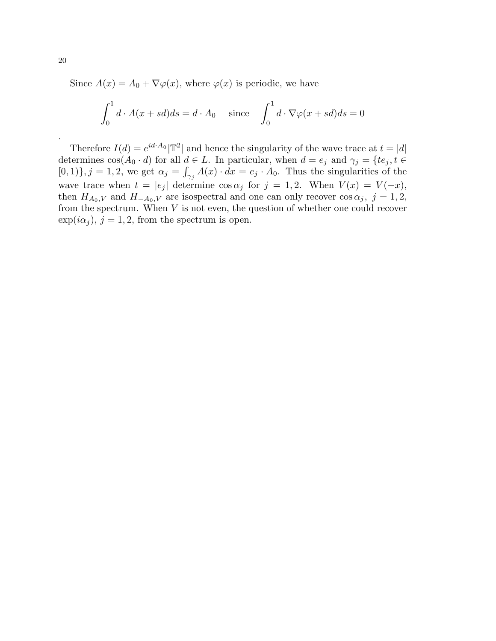Since  $A(x) = A_0 + \nabla \varphi(x)$ , where  $\varphi(x)$  is periodic, we have

$$
\int_0^1 d \cdot A(x + sd) ds = d \cdot A_0 \quad \text{since} \quad \int_0^1 d \cdot \nabla \varphi(x + sd) ds = 0
$$

Therefore  $I(d) = e^{id \cdot A_0} |\mathbb{T}^2|$  and hence the singularity of the wave trace at  $t = |d|$ determines  $cos(A_0 \cdot d)$  for all  $d \in L$ . In particular, when  $d = e_j$  and  $\gamma_j = \{te_j, t \in L\}$  $[0,1)$ ,  $j = 1, 2$ , we get  $\alpha_j = \int_{\gamma_j} A(x) \cdot dx = e_j \cdot A_0$ . Thus the singularities of the wave trace when  $t = |e_j|$  determine  $\cos \alpha_j$  for  $j = 1, 2$ . When  $V(x) = V(-x)$ , then  $H_{A_0,V}$  and  $H_{-A_0,V}$  are isospectral and one can only recover  $\cos \alpha_j$ ,  $j=1,2,$ from the spectrum. When  $V$  is not even, the question of whether one could recover  $\exp(i\alpha_j), j=1,2$ , from the spectrum is open.

.